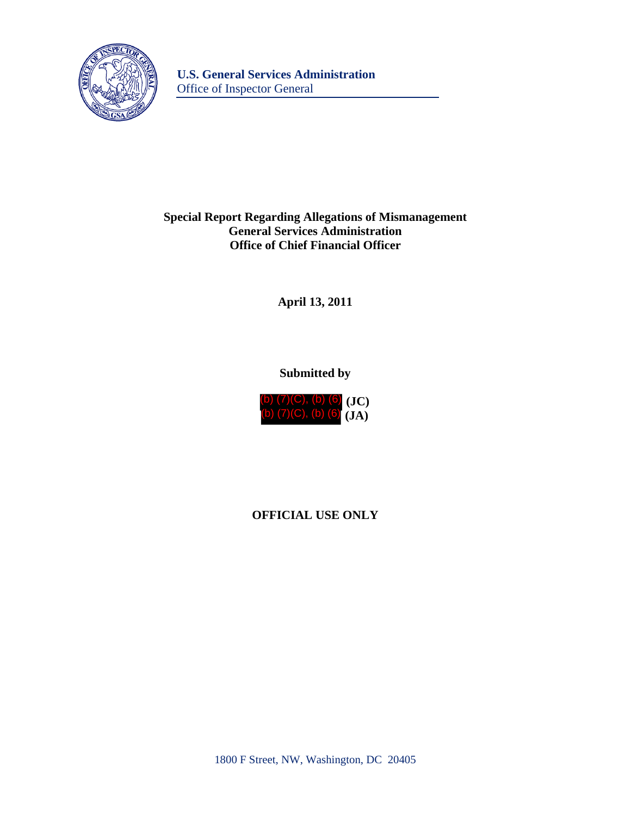

## **Special Report Regarding Allegations of Mismanagement General Services Administration Office of Chief Financial Officer**

**April 13, 2011** 

# **Submitted by**



# **OFFICIAL USE ONLY**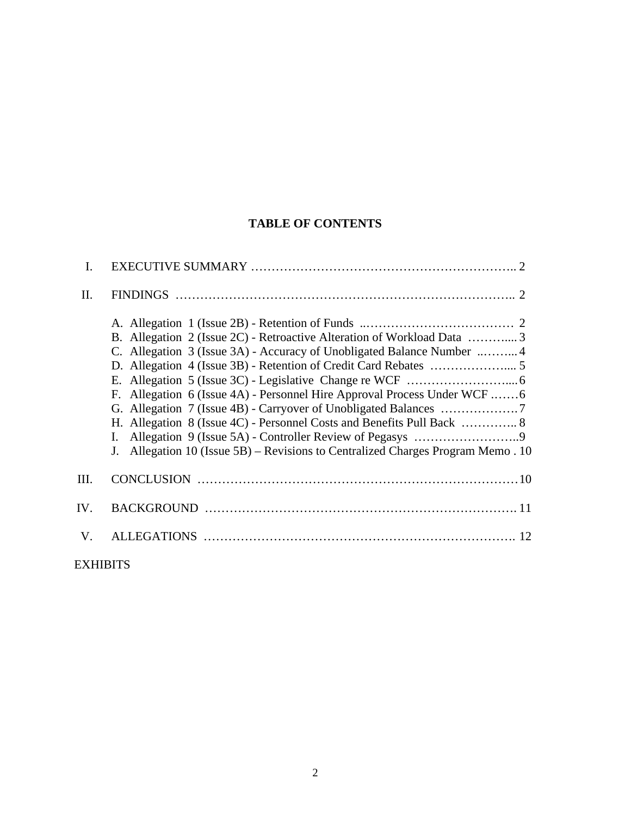# **TABLE OF CONTENTS**

| I.   |                                                                                                                                                                                                                                                                                                                                                                                                                |
|------|----------------------------------------------------------------------------------------------------------------------------------------------------------------------------------------------------------------------------------------------------------------------------------------------------------------------------------------------------------------------------------------------------------------|
| II.  |                                                                                                                                                                                                                                                                                                                                                                                                                |
|      | B. Allegation 2 (Issue 2C) - Retroactive Alteration of Workload Data 3<br>C. Allegation 3 (Issue 3A) - Accuracy of Unobligated Balance Number  4<br>F. Allegation 6 (Issue 4A) - Personnel Hire Approval Process Under WCF 6<br>H. Allegation 8 (Issue 4C) - Personnel Costs and Benefits Pull Back  8<br>$\mathbf{I}$ .<br>Allegation 10 (Issue 5B) – Revisions to Centralized Charges Program Memo. 10<br>J. |
| III. |                                                                                                                                                                                                                                                                                                                                                                                                                |
| IV.  |                                                                                                                                                                                                                                                                                                                                                                                                                |
| V.   |                                                                                                                                                                                                                                                                                                                                                                                                                |
|      |                                                                                                                                                                                                                                                                                                                                                                                                                |

**EXHIBITS**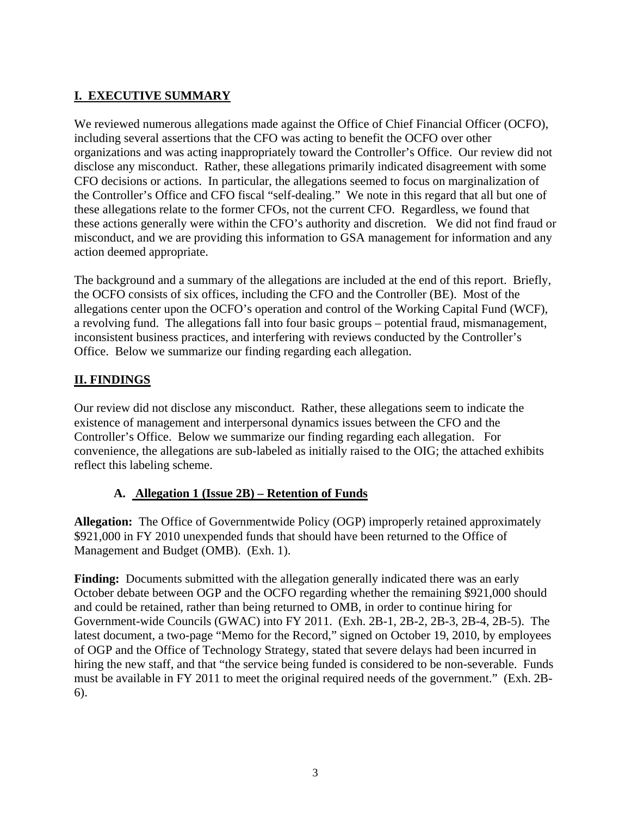## **I. EXECUTIVE SUMMARY**

We reviewed numerous allegations made against the Office of Chief Financial Officer (OCFO), including several assertions that the CFO was acting to benefit the OCFO over other organizations and was acting inappropriately toward the Controller's Office. Our review did not disclose any misconduct. Rather, these allegations primarily indicated disagreement with some CFO decisions or actions. In particular, the allegations seemed to focus on marginalization of the Controller's Office and CFO fiscal "self-dealing." We note in this regard that all but one of these allegations relate to the former CFOs, not the current CFO. Regardless, we found that these actions generally were within the CFO's authority and discretion. We did not find fraud or misconduct, and we are providing this information to GSA management for information and any action deemed appropriate.

The background and a summary of the allegations are included at the end of this report. Briefly, the OCFO consists of six offices, including the CFO and the Controller (BE). Most of the allegations center upon the OCFO's operation and control of the Working Capital Fund (WCF), a revolving fund. The allegations fall into four basic groups – potential fraud, mismanagement, inconsistent business practices, and interfering with reviews conducted by the Controller's Office. Below we summarize our finding regarding each allegation.

## **II. FINDINGS**

Our review did not disclose any misconduct. Rather, these allegations seem to indicate the existence of management and interpersonal dynamics issues between the CFO and the Controller's Office. Below we summarize our finding regarding each allegation. For convenience, the allegations are sub-labeled as initially raised to the OIG; the attached exhibits reflect this labeling scheme.

## **A. Allegation 1 (Issue 2B) – Retention of Funds**

**Allegation:** The Office of Governmentwide Policy (OGP) improperly retained approximately \$921,000 in FY 2010 unexpended funds that should have been returned to the Office of Management and Budget (OMB). (Exh. 1).

**Finding:** Documents submitted with the allegation generally indicated there was an early October debate between OGP and the OCFO regarding whether the remaining \$921,000 should and could be retained, rather than being returned to OMB, in order to continue hiring for Government-wide Councils (GWAC) into FY 2011. (Exh. 2B-1, 2B-2, 2B-3, 2B-4, 2B-5). The latest document, a two-page "Memo for the Record," signed on October 19, 2010, by employees of OGP and the Office of Technology Strategy, stated that severe delays had been incurred in hiring the new staff, and that "the service being funded is considered to be non-severable. Funds must be available in FY 2011 to meet the original required needs of the government." (Exh. 2B-6).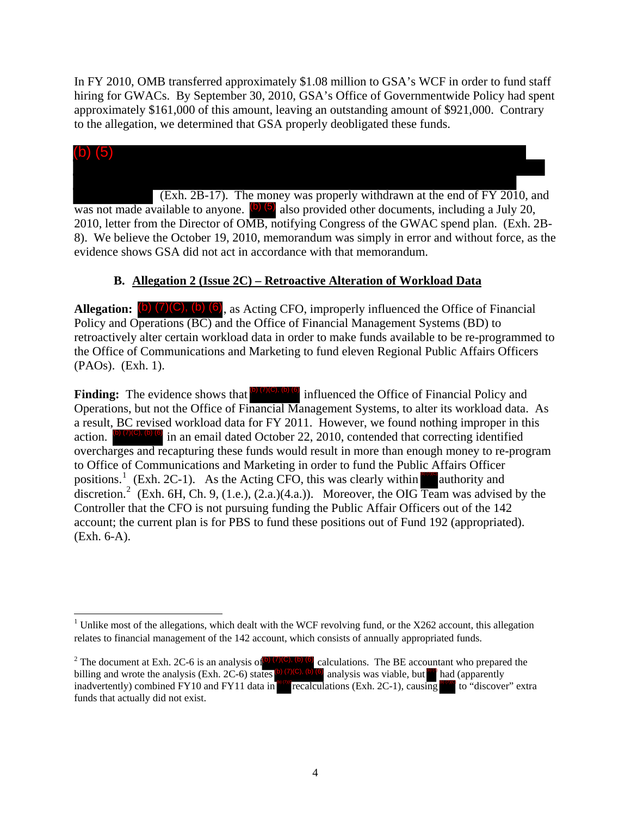In FY 2010, OMB transferred approximately \$1.08 million to GSA's WCF in order to fund staff hiring for GWACs. By September 30, 2010, GSA's Office of Governmentwide Policy had spent approximately \$161,000 of this amount, leaving an outstanding amount of \$921,000. Contrary to the allegation, we determined that GSA properly deobligated these funds.



was not made available to anyone.  $(b)$  (5) also provided other documents, including a July 20, 2010, letter from the Director of OMB, notifying Congress of the GWAC spend plan. (Exh. 2B-8). We believe the October 19, 2010, memorandum was simply in error and without force, as the evidence shows GSA did not act in accordance with that memorandum.

## **B. Allegation 2 (Issue 2C) – Retroactive Alteration of Workload Data**

**Allegation:**  $(b)$   $(7)(C)$ ,  $(b)$   $(6)$ , as Acting CFO, improperly influenced the Office of Financial Policy and Operations (BC) and the Office of Financial Management Systems (BD) to retroactively alter certain workload data in order to make funds available to be re-programmed to the Office of Communications and Marketing to fund eleven Regional Public Affairs Officers (PAOs). (Exh. 1).

**Finding:** The evidence shows that **(b)** (7)(C), (b) (6) influenced the Office of Financial Policy and Operations, but not the Office of Financial Management Systems, to alter its workload data. As a result, BC revised workload data for FY 2011. However, we found nothing improper in this action.  $\bullet$  (7)(0),  $\bullet$  (6) in an email dated October 22, 2010, contended that correcting identified overcharges and recapturing these funds would result in more than enough money to re-program to Office of Communications and Marketing in order to fund the Public Affairs Officer positions.<sup>[1](#page-3-0)</sup> (Exh. 2C-1). As the Acting CFO, this was clearly within authority and discretion.<sup>[2](#page-3-1)</sup> (Exh. 6H, Ch. 9, (1.e.), (2.a.)(4.a.)). Moreover, the OIG Team was advised by the Controller that the CFO is not pursuing funding the Public Affair Officers out of the 142 account; the current plan is for PBS to fund these positions out of Fund 192 (appropriated). (Exh. 6-A). (b) (7)(C), (b) (6)

<span id="page-3-0"></span> <sup>1</sup> Unlike most of the allegations, which dealt with the WCF revolving fund, or the X262 account, this allegation relates to financial management of the 142 account, which consists of annually appropriated funds.

<span id="page-3-1"></span><sup>&</sup>lt;sup>2</sup> The document at Exh. 2C-6 is an analysis of <sup>(b)</sup> (7)<sup>(c), (b)</sup> (6) calculations. The BE accountant who prepared the billing and wrote the analysis (Exh. 2C-6) states (b)  $(7)(C)$ , (b) (6) analysis was viable, but  $\frac{6}{10}$  had (apparently inadvertently) combined FY10 and FY11 data in recalculations (Exh. 2C-1), causing to "discover" extra funds that actually did not exist.  $\bullet$  analysis was viable, but  $\bullet$  had (apparently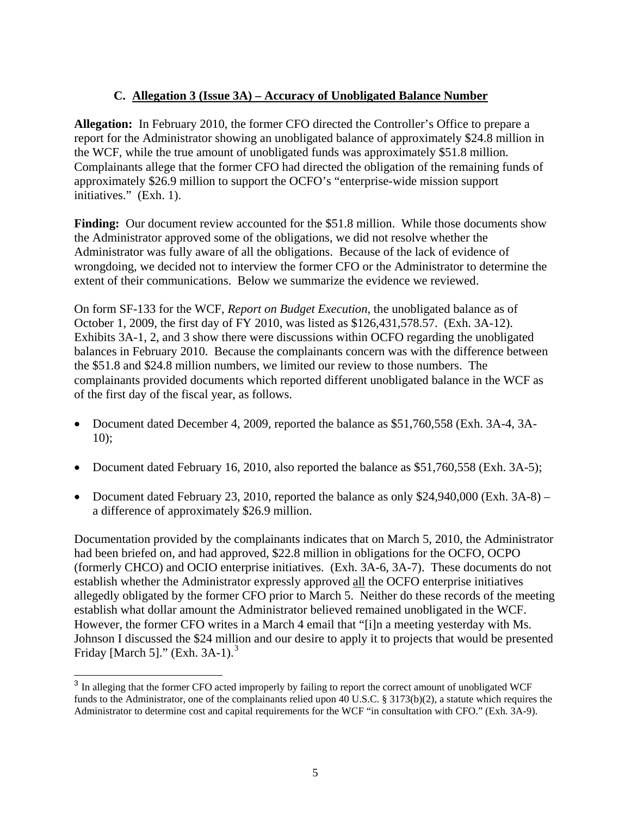### **C. Allegation 3 (Issue 3A) – Accuracy of Unobligated Balance Number**

**Allegation:** In February 2010, the former CFO directed the Controller's Office to prepare a report for the Administrator showing an unobligated balance of approximately \$24.8 million in the WCF, while the true amount of unobligated funds was approximately \$51.8 million. Complainants allege that the former CFO had directed the obligation of the remaining funds of approximately \$26.9 million to support the OCFO's "enterprise-wide mission support initiatives." (Exh. 1).

**Finding:** Our document review accounted for the \$51.8 million. While those documents show the Administrator approved some of the obligations, we did not resolve whether the Administrator was fully aware of all the obligations. Because of the lack of evidence of wrongdoing, we decided not to interview the former CFO or the Administrator to determine the extent of their communications. Below we summarize the evidence we reviewed.

On form SF-133 for the WCF, *Report on Budget Execution*, the unobligated balance as of October 1, 2009, the first day of FY 2010, was listed as \$126,431,578.57. (Exh. 3A-12). Exhibits 3A-1, 2, and 3 show there were discussions within OCFO regarding the unobligated balances in February 2010. Because the complainants concern was with the difference between the \$51.8 and \$24.8 million numbers, we limited our review to those numbers. The complainants provided documents which reported different unobligated balance in the WCF as of the first day of the fiscal year, as follows.

- Document dated December 4, 2009, reported the balance as \$51,760,558 (Exh. 3A-4, 3A-10);
- Document dated February 16, 2010, also reported the balance as \$51,760,558 (Exh. 3A-5);
- Document dated February 23, 2010, reported the balance as only \$24,940,000 (Exh. 3A-8) a difference of approximately \$26.9 million.

Documentation provided by the complainants indicates that on March 5, 2010, the Administrator had been briefed on, and had approved, \$22.8 million in obligations for the OCFO, OCPO (formerly CHCO) and OCIO enterprise initiatives. (Exh. 3A-6, 3A-7). These documents do not establish whether the Administrator expressly approved all the OCFO enterprise initiatives allegedly obligated by the former CFO prior to March 5. Neither do these records of the meeting establish what dollar amount the Administrator believed remained unobligated in the WCF. However, the former CFO writes in a March 4 email that "[i]n a meeting yesterday with Ms. Johnson I discussed the \$24 million and our desire to apply it to projects that would be presented Friday [March 5]." (Exh.  $3A-1$  $3A-1$ ). $3$ 

<span id="page-4-0"></span><sup>&</sup>lt;sup>3</sup> In alleging that the former CFO acted improperly by failing to report the correct amount of unobligated WCF funds to the Administrator, one of the complainants relied upon 40 U.S.C. § 3173(b)(2), a statute which requires the Administrator to determine cost and capital requirements for the WCF "in consultation with CFO." (Exh. 3A-9).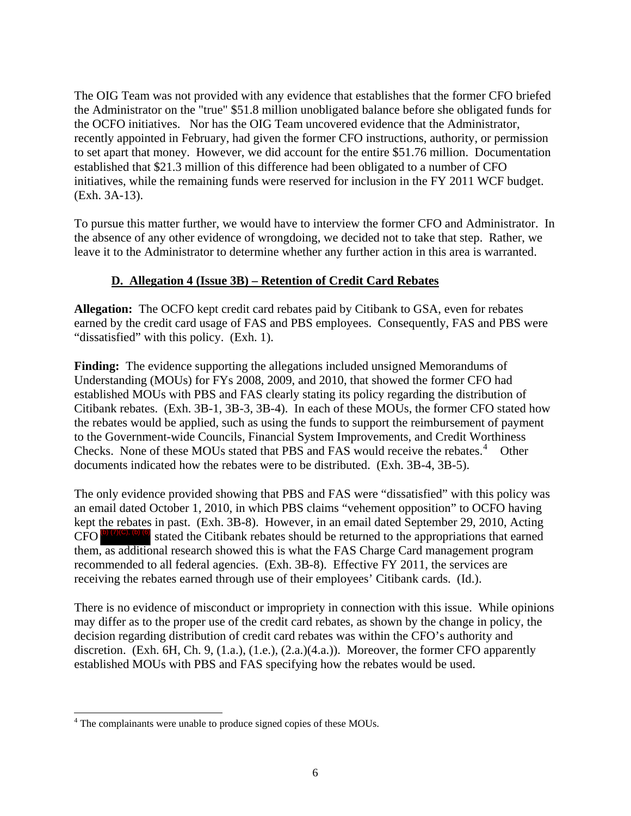The OIG Team was not provided with any evidence that establishes that the former CFO briefed the Administrator on the "true" \$51.8 million unobligated balance before she obligated funds for the OCFO initiatives. Nor has the OIG Team uncovered evidence that the Administrator, recently appointed in February, had given the former CFO instructions, authority, or permission to set apart that money. However, we did account for the entire \$51.76 million. Documentation established that \$21.3 million of this difference had been obligated to a number of CFO initiatives, while the remaining funds were reserved for inclusion in the FY 2011 WCF budget. (Exh. 3A-13).

To pursue this matter further, we would have to interview the former CFO and Administrator. In the absence of any other evidence of wrongdoing, we decided not to take that step. Rather, we leave it to the Administrator to determine whether any further action in this area is warranted.

### **D. Allegation 4 (Issue 3B) – Retention of Credit Card Rebates**

**Allegation:** The OCFO kept credit card rebates paid by Citibank to GSA, even for rebates earned by the credit card usage of FAS and PBS employees. Consequently, FAS and PBS were "dissatisfied" with this policy. (Exh. 1).

**Finding:** The evidence supporting the allegations included unsigned Memorandums of Understanding (MOUs) for FYs 2008, 2009, and 2010, that showed the former CFO had established MOUs with PBS and FAS clearly stating its policy regarding the distribution of Citibank rebates. (Exh. 3B-1, 3B-3, 3B-4). In each of these MOUs, the former CFO stated how the rebates would be applied, such as using the funds to support the reimbursement of payment to the Government-wide Councils, Financial System Improvements, and Credit Worthiness Checks. None of these MOUs stated that PBS and FAS would receive the rebates. $4$  Other documents indicated how the rebates were to be distributed. (Exh. 3B-4, 3B-5).

The only evidence provided showing that PBS and FAS were "dissatisfied" with this policy was an email dated October 1, 2010, in which PBS claims "vehement opposition" to OCFO having kept the rebates in past. (Exh. 3B-8). However, in an email dated September 29, 2010, Acting stated the Citibank rebates should be returned to the appropriations that earned them, as additional research showed this is what the FAS Charge Card management program recommended to all federal agencies. (Exh. 3B-8). Effective FY 2011, the services are receiving the rebates earned through use of their employees' Citibank cards. (Id.).  $CFO$  (b)  $(7)$ (C), (b)

There is no evidence of misconduct or impropriety in connection with this issue. While opinions may differ as to the proper use of the credit card rebates, as shown by the change in policy, the decision regarding distribution of credit card rebates was within the CFO's authority and discretion. (Exh. 6H, Ch. 9, (1.a.), (1.e.), (2.a.)(4.a.)). Moreover, the former CFO apparently established MOUs with PBS and FAS specifying how the rebates would be used.

<span id="page-5-0"></span> 4 The complainants were unable to produce signed copies of these MOUs.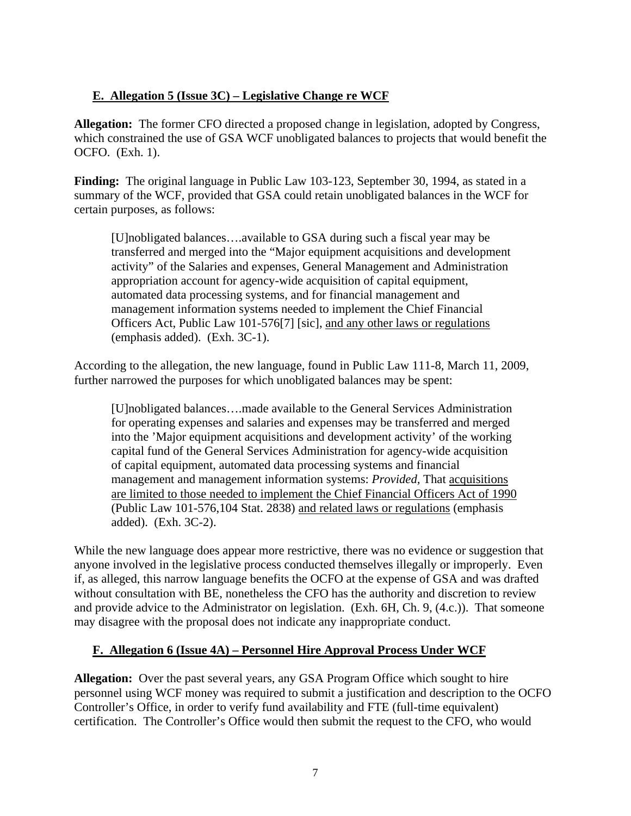### **E. Allegation 5 (Issue 3C) – Legislative Change re WCF**

**Allegation:** The former CFO directed a proposed change in legislation, adopted by Congress, which constrained the use of GSA WCF unobligated balances to projects that would benefit the OCFO. (Exh. 1).

**Finding:** The original language in Public Law 103-123, September 30, 1994, as stated in a summary of the WCF, provided that GSA could retain unobligated balances in the WCF for certain purposes, as follows:

[U]nobligated balances….available to GSA during such a fiscal year may be transferred and merged into the "Major equipment acquisitions and development activity" of the Salaries and expenses, General Management and Administration appropriation account for agency-wide acquisition of capital equipment, automated data processing systems, and for financial management and management information systems needed to implement the Chief Financial Officers Act, Public Law 101-576[7] [sic], and any other laws or regulations (emphasis added). (Exh. 3C-1).

According to the allegation, the new language, found in Public Law 111-8, March 11, 2009, further narrowed the purposes for which unobligated balances may be spent:

[U]nobligated balances….made available to the General Services Administration for operating expenses and salaries and expenses may be transferred and merged into the 'Major equipment acquisitions and development activity' of the working capital fund of the General Services Administration for agency-wide acquisition of capital equipment, automated data processing systems and financial management and management information systems: *Provided,* That acquisitions are limited to those needed to implement the Chief Financial Officers Act of 1990 (Public Law 101-576,104 Stat. 2838) and related laws or regulations (emphasis added). (Exh. 3C-2).

While the new language does appear more restrictive, there was no evidence or suggestion that anyone involved in the legislative process conducted themselves illegally or improperly. Even if, as alleged, this narrow language benefits the OCFO at the expense of GSA and was drafted without consultation with BE, nonetheless the CFO has the authority and discretion to review and provide advice to the Administrator on legislation. (Exh. 6H, Ch. 9, (4.c.)). That someone may disagree with the proposal does not indicate any inappropriate conduct.

#### **F. Allegation 6 (Issue 4A) – Personnel Hire Approval Process Under WCF**

**Allegation:** Over the past several years, any GSA Program Office which sought to hire personnel using WCF money was required to submit a justification and description to the OCFO Controller's Office, in order to verify fund availability and FTE (full-time equivalent) certification. The Controller's Office would then submit the request to the CFO, who would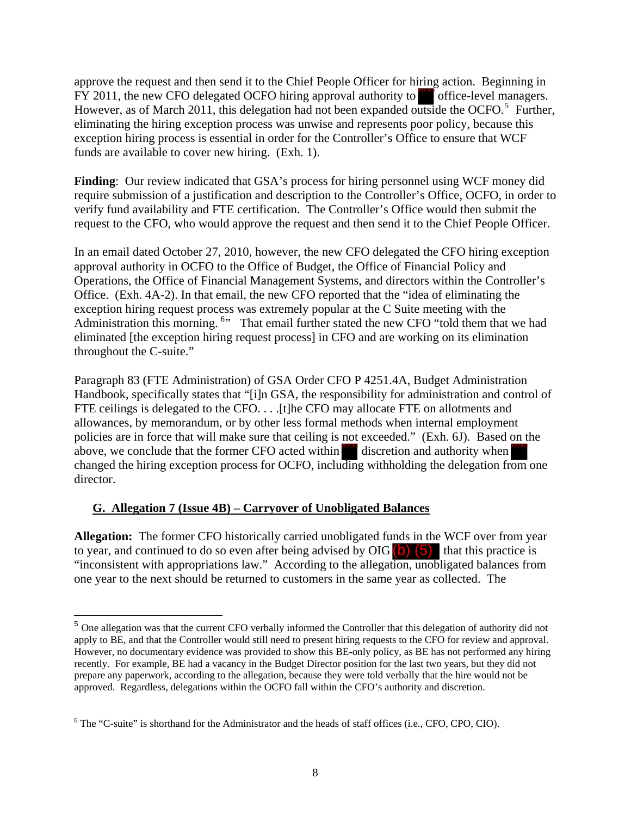approve the request and then send it to the Chief People Officer for hiring action. Beginning in FY 2011, the new CFO delegated OCFO hiring approval authority to office-level managers. However, as of March 2011, this delegation had not been expanded outside the OCFO.<sup>[5](#page-7-0)</sup> Further, eliminating the hiring exception process was unwise and represents poor policy, because this exception hiring process is essential in order for the Controller's Office to ensure that WCF funds are available to cover new hiring. (Exh. 1).

**Finding**: Our review indicated that GSA's process for hiring personnel using WCF money did require submission of a justification and description to the Controller's Office, OCFO, in order to verify fund availability and FTE certification. The Controller's Office would then submit the request to the CFO, who would approve the request and then send it to the Chief People Officer.

In an email dated October 27, 2010, however, the new CFO delegated the CFO hiring exception approval authority in OCFO to the Office of Budget, the Office of Financial Policy and Operations, the Office of Financial Management Systems, and directors within the Controller's Office. (Exh. 4A-2). In that email, the new CFO reported that the "idea of eliminating the exception hiring request process was extremely popular at the C Suite meeting with the Administration this morning. <sup>[6](#page-7-1)</sup><sup>2</sup> That email further stated the new CFO "told them that we had eliminated [the exception hiring request process] in CFO and are working on its elimination throughout the C-suite." wal authority to **the deficited** office-level manager<br>een expanded outside the OCFO.<sup>5</sup> Furth<br>nd represents poor policy, because this<br>ontroller's Office to ensure that WCF<br>r hiring personnel using WCF money dia<br>the Control

Paragraph 83 (FTE Administration) of GSA Order CFO P 4251.4A, Budget Administration Handbook, specifically states that "[i]n GSA, the responsibility for administration and control of FTE ceilings is delegated to the CFO.... [t]he CFO may allocate FTE on allotments and allowances, by memorandum, or by other less formal methods when internal employment policies are in force that will make sure that ceiling is not exceeded." (Exh. 6J). Based on the above, we conclude that the former CFO acted within discretion and authority when changed the hiring exception process for OCFO, including withholding the delegation from one director.

#### **G. Allegation 7 (Issue 4B) – Carryover of Unobligated Balances**

 $\overline{a}$ 

**Allegation:** The former CFO historically carried unobligated funds in the WCF over from year to year, and continued to do so even after being advised by OIG  $\begin{pmatrix} 5 \end{pmatrix}$  that this practice is "inconsistent with appropriations law." According to the allegation, unobligated balances from one year to the next should be returned to customers in the same year as collected. The

<span id="page-7-0"></span><sup>5</sup> One allegation was that the current CFO verbally informed the Controller that this delegation of authority did not apply to BE, and that the Controller would still need to present hiring requests to the CFO for review and approval. However, no documentary evidence was provided to show this BE-only policy, as BE has not performed any hiring recently. For example, BE had a vacancy in the Budget Director position for the last two years, but they did not prepare any paperwork, according to the allegation, because they were told verbally that the hire would not be approved. Regardless, delegations within the OCFO fall within the CFO's authority and discretion.

<span id="page-7-1"></span><sup>&</sup>lt;sup>6</sup> The "C-suite" is shorthand for the Administrator and the heads of staff offices (i.e., CFO, CPO, CIO).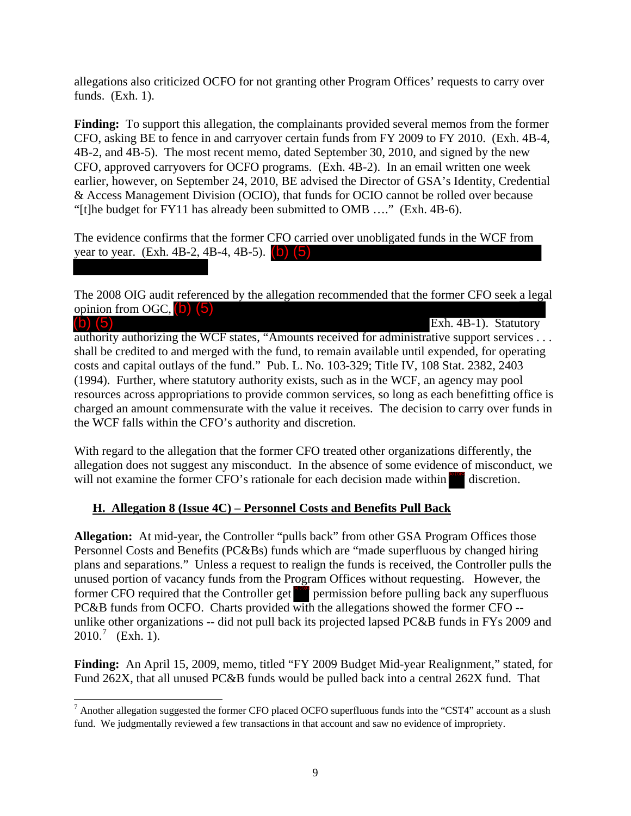allegations also criticized OCFO for not granting other Program Offices' requests to carry over funds. (Exh. 1).

**Finding:** To support this allegation, the complainants provided several memos from the former CFO, asking BE to fence in and carryover certain funds from FY 2009 to FY 2010. (Exh. 4B-4, 4B-2, and 4B-5). The most recent memo, dated September 30, 2010, and signed by the new CFO, approved carryovers for OCFO programs. (Exh. 4B-2). In an email written one week earlier, however, on September 24, 2010, BE advised the Director of GSA's Identity, Credential & Access Management Division (OCIO), that funds for OCIO cannot be rolled over because "[t]he budget for FY11 has already been submitted to OMB …." (Exh. 4B-6).

The evidence confirms that the former CFO carried over unobligated funds in the WCF from year to year. (Exh. 4B-2, 4B-4, 4B-5). (b) (5)

The 2008 OIG audit referenced by the allegation recommended that the former CFO seek a legal opinion from OGC, (b) (5) (b) (5) (b) (5)

Exh. 4B-1). Statutory authority authorizing the WCF states, "Amounts received for administrative support services . . . shall be credited to and merged with the fund, to remain available until expended, for operating costs and capital outlays of the fund." Pub. L. No. 103-329; Title IV, 108 Stat. 2382, 2403 (1994). Further, where statutory authority exists, such as in the WCF, an agency may pool resources across appropriations to provide common services, so long as each benefitting office is charged an amount commensurate with the value it receives. The decision to carry over funds in the WCF falls within the CFO's authority and discretion.

With regard to the allegation that the former CFO treated other organizations differently, the allegation does not suggest any misconduct. In the absence of some evidence of misconduct, we will not examine the former CFO's rationale for each decision made within  $\omega$  discretion.

#### **H. Allegation 8 (Issue 4C) – Personnel Costs and Benefits Pull Back**

**Allegation:** At mid-year, the Controller "pulls back" from other GSA Program Offices those Personnel Costs and Benefits (PC&Bs) funds which are "made superfluous by changed hiring plans and separations." Unless a request to realign the funds is received, the Controller pulls the unused portion of vacancy funds from the Program Offices without requesting. However, the former CFO required that the Controller get  $\frac{1}{\sqrt{2}}$  permission before pulling back any superfluous PC&B funds from OCFO. Charts provided with the allegations showed the former CFO - unlike other organizations -- did not pull back its projected lapsed PC&B funds in FYs 2009 and  $2010^{7}$  $2010^{7}$  $2010^{7}$  (Exh. 1).

**Finding:** An April 15, 2009, memo, titled "FY 2009 Budget Mid-year Realignment," stated, for Fund 262X, that all unused PC&B funds would be pulled back into a central 262X fund. That

<span id="page-8-0"></span>  $^7$  Another allegation suggested the former CFO placed OCFO superfluous funds into the "CST4" account as a slush fund. We judgmentally reviewed a few transactions in that account and saw no evidence of impropriety.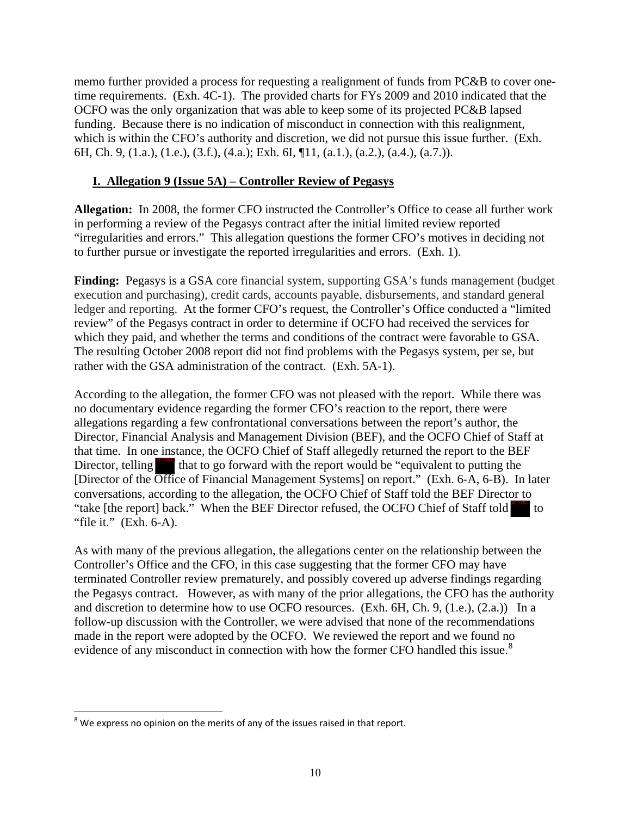memo further provided a process for requesting a realignment of funds from PC&B to cover onetime requirements. (Exh. 4C-1). The provided charts for FYs 2009 and 2010 indicated that the OCFO was the only organization that was able to keep some of its projected PC&B lapsed funding. Because there is no indication of misconduct in connection with this realignment, which is within the CFO's authority and discretion, we did not pursue this issue further. (Exh. 6H, Ch. 9, (1.a.), (1.e.), (3.f.), (4.a.); Exh. 6I, ¶11, (a.1.), (a.2.), (a.4.), (a.7.)).

#### **I. Allegation 9 (Issue 5A) – Controller Review of Pegasys**

**Allegation:** In 2008, the former CFO instructed the Controller's Office to cease all further work in performing a review of the Pegasys contract after the initial limited review reported "irregularities and errors." This allegation questions the former CFO's motives in deciding not to further pursue or investigate the reported irregularities and errors. (Exh. 1).

Finding: Pegasys is a GSA core financial system, supporting GSA's funds management (budget execution and purchasing), credit cards, accounts payable, disbursements, and standard general ledger and reporting. At the former CFO's request, the Controller's Office conducted a "limited review" of the Pegasys contract in order to determine if OCFO had received the services for which they paid, and whether the terms and conditions of the contract were favorable to GSA. The resulting October 2008 report did not find problems with the Pegasys system, per se, but rather with the GSA administration of the contract. (Exh. 5A-1).

According to the allegation, the former CFO was not pleased with the report. While there was no documentary evidence regarding the former CFO's reaction to the report, there were allegations regarding a few confrontational conversations between the report's author, the Director, Financial Analysis and Management Division (BEF), and the OCFO Chief of Staff at that time. In one instance, the OCFO Chief of Staff allegedly returned the report to the BEF Director, telling  $\frac{1}{\sqrt{2}}$  that to go forward with the report would be "equivalent to putting the [Director of the Office of Financial Management Systems] on report." (Exh. 6-A, 6-B). In later conversations, according to the allegation, the OCFO Chief of Staff told the BEF Director to "take [the report] back." When the BEF Director refused, the OCFO Chief of Staff told "file it." (Exh. 6-A).  $\int$  to

As with many of the previous allegation, the allegations center on the relationship between the Controller's Office and the CFO, in this case suggesting that the former CFO may have terminated Controller review prematurely, and possibly covered up adverse findings regarding the Pegasys contract. However, as with many of the prior allegations, the CFO has the authority and discretion to determine how to use OCFO resources. (Exh. 6H, Ch. 9, (1.e.), (2.a.)) In a follow-up discussion with the Controller, we were advised that none of the recommendations made in the report were adopted by the OCFO. We reviewed the report and we found no evidence of any misconduct in connection with how the former CFO handled this issue.<sup>[8](#page-9-0)</sup>

<span id="page-9-0"></span>  $8$  We express no opinion on the merits of any of the issues raised in that report.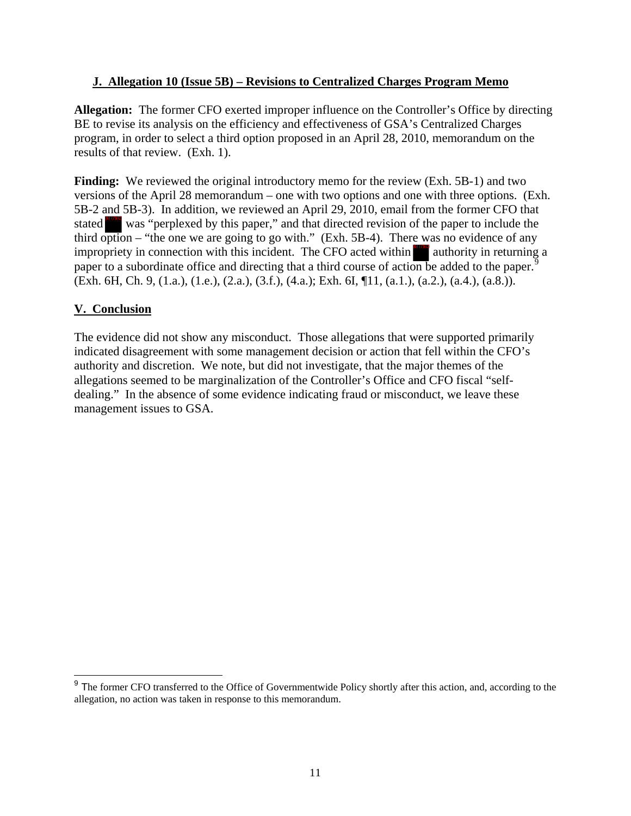#### **J. Allegation 10 (Issue 5B) – Revisions to Centralized Charges Program Memo**

**Allegation:** The former CFO exerted improper influence on the Controller's Office by directing BE to revise its analysis on the efficiency and effectiveness of GSA's Centralized Charges program, in order to select a third option proposed in an April 28, 2010, memorandum on the results of that review. (Exh. 1).

**Finding:** We reviewed the original introductory memo for the review (Exh. 5B-1) and two versions of the April 28 memorandum – one with two options and one with three options. (Exh. 5B-2 and 5B-3). In addition, we reviewed an April 29, 2010, email from the former CFO that stated was "perplexed by this paper," and that directed revision of the paper to include the third option – "the one we are going to go with." (Exh. 5B-4). There was no evidence of any impropriety in connection with this incident. The CFO acted within  $\frac{1}{2}$  authority in returning a paper to a subordinate office and directing that a third course of action be added to the paper.<sup>[9](#page-10-0)</sup> (Exh. 6H, Ch. 9, (1.a.), (1.e.), (2.a.), (3.f.), (4.a.); Exh. 6I, ¶11, (a.1.), (a.2.), (a.4.), (a.8.)).

#### **V. Conclusion**

The evidence did not show any misconduct. Those allegations that were supported primarily indicated disagreement with some management decision or action that fell within the CFO's authority and discretion. We note, but did not investigate, that the major themes of the allegations seemed to be marginalization of the Controller's Office and CFO fiscal "selfdealing." In the absence of some evidence indicating fraud or misconduct, we leave these management issues to GSA.

<span id="page-10-0"></span><sup>&</sup>lt;sup>9</sup> The former CFO transferred to the Office of Governmentwide Policy shortly after this action, and, according to the allegation, no action was taken in response to this memorandum.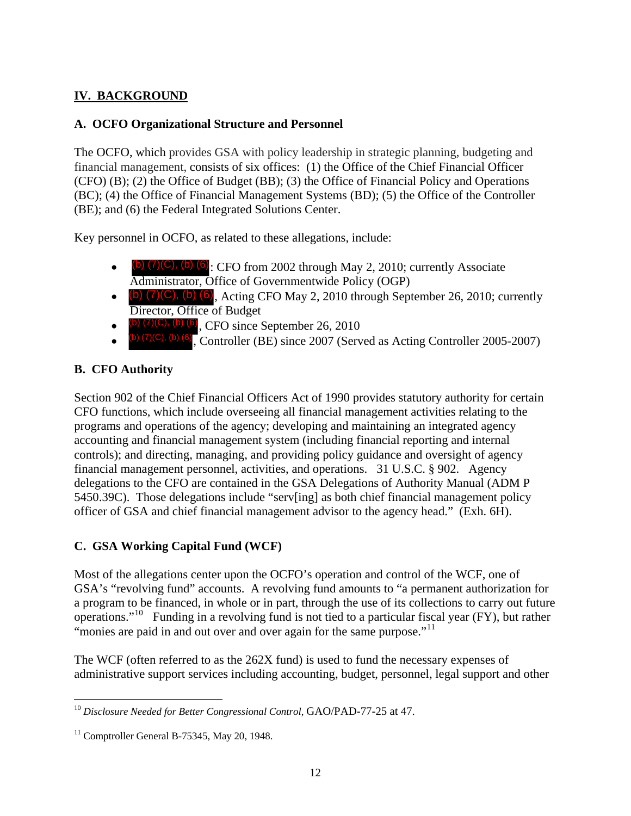## **IV. BACKGROUND**

#### **A. OCFO Organizational Structure and Personnel**

The OCFO, which provides GSA with policy leadership in strategic planning, budgeting and financial management, consists of six offices: (1) the Office of the Chief Financial Officer (CFO) (B); (2) the Office of Budget (BB); (3) the Office of Financial Policy and Operations (BC); (4) the Office of Financial Management Systems (BD); (5) the Office of the Controller (BE); and (6) the Federal Integrated Solutions Center.

Key personnel in OCFO, as related to these allegations, include:

- $\bullet$  (b)  $(7)(C)$ , (b)  $(6)$ : CFO from 2002 through May 2, 2010; currently Associate Administrator, Office of Governmentwide Policy (OGP)
- $\bullet$  (b)  $(7)(C)$ , (b)  $(6)$ , Acting CFO May 2, 2010 through September 26, 2010; currently Director, Office of Budget
- $\bullet$  (b)  $(7)(C)$ , (b) (6), CFO since September 26, 2010
- $\bullet$  (b) (7)(C), (b) (6), Controller (BE) since 2007 (Served as Acting Controller 2005-2007)

## **B. CFO Authority**

Section 902 of the Chief Financial Officers Act of 1990 provides statutory authority for certain CFO functions, which include overseeing all financial management activities relating to the programs and operations of the agency; developing and maintaining an integrated agency accounting and financial management system (including financial reporting and internal controls); and directing, managing, and providing policy guidance and oversight of agency financial management personnel, activities, and operations. 31 U.S.C. § 902. Agency delegations to the CFO are contained in the GSA Delegations of Authority Manual (ADM P 5450.39C). Those delegations include "serv[ing] as both chief financial management policy officer of GSA and chief financial management advisor to the agency head." (Exh. 6H).

## **C. GSA Working Capital Fund (WCF)**

Most of the allegations center upon the OCFO's operation and control of the WCF, one of GSA's "revolving fund" accounts. A revolving fund amounts to "a permanent authorization for a program to be financed, in whole or in part, through the use of its collections to carry out future operations."<sup>[10](#page-11-0)</sup> Funding in a revolving fund is not tied to a particular fiscal year (FY), but rather "monies are paid in and out over and over again for the same purpose."<sup>[11](#page-11-1)</sup>

The WCF (often referred to as the 262X fund) is used to fund the necessary expenses of administrative support services including accounting, budget, personnel, legal support and other

<span id="page-11-0"></span><sup>10</sup> *Disclosure Needed for Better Congressional Control*, GAO/PAD-77-25 at 47.

<span id="page-11-1"></span> $11$  Comptroller General B-75345, May 20, 1948.